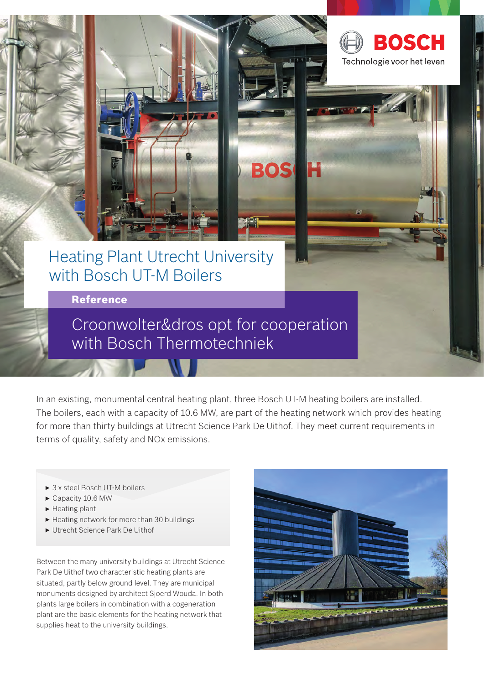

# Heating Plant Utrecht University with Bosch UT-M Boilers

Reference

Croonwolter&dros opt for cooperation with Bosch Thermotechniek

In an existing, monumental central heating plant, three Bosch UT-M heating boilers are installed. The boilers, each with a capacity of 10.6 MW, are part of the heating network which provides heating for more than thirty buildings at Utrecht Science Park De Uithof. They meet current requirements in terms of quality, safety and NOx emissions.

**BOS** 

- ▶ 3 x steel Bosch UT-M boilers
- Capacity 10.6 MW
- $\blacktriangleright$  Heating plant
- $\blacktriangleright$  Heating network for more than 30 buildings
- ► Utrecht Science Park De Uithof

Between the many university buildings at Utrecht Science Park De Uithof two characteristic heating plants are situated, partly below ground level. They are municipal monuments designed by architect Sjoerd Wouda. In both plants large boilers in combination with a cogeneration plant are the basic elements for the heating network that supplies heat to the university buildings.